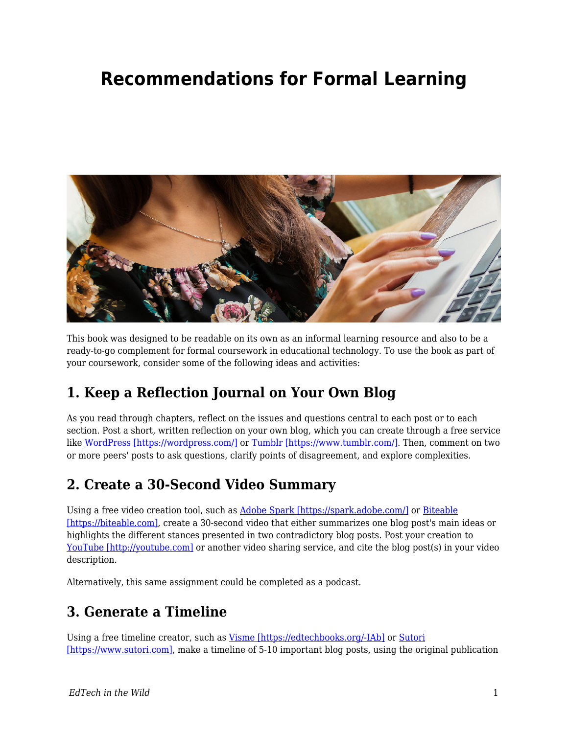# **Recommendations for Formal Learning**



This book was designed to be readable on its own as an informal learning resource and also to be a ready-to-go complement for formal coursework in educational technology. To use the book as part of your coursework, consider some of the following ideas and activities:

# **1. Keep a Reflection Journal on Your Own Blog**

As you read through chapters, reflect on the issues and questions central to each post or to each section. Post a short, written reflection on your own blog, which you can create through a free service like [WordPress \[https://wordpress.com/\]](https://wordpress.com/) or [Tumblr \[https://www.tumblr.com/\].](https://www.tumblr.com/) Then, comment on two or more peers' posts to ask questions, clarify points of disagreement, and explore complexities.

### **2. Create a 30-Second Video Summary**

Using a free video creation tool, such as [Adobe Spark \[https://spark.adobe.com/\]](https://spark.adobe.com/) or [Biteable](https://biteable.com) [\[https://biteable.com\]](https://biteable.com), create a 30-second video that either summarizes one blog post's main ideas or highlights the different stances presented in two contradictory blog posts. Post your creation to [YouTube \[http://youtube.com\]](http://youtube.com) or another video sharing service, and cite the blog post(s) in your video description.

Alternatively, this same assignment could be completed as a podcast.

### **3. Generate a Timeline**

Using a free timeline creator, such as [Visme \[https://edtechbooks.org/-IAb\]](https://www.visme.co/timeline-maker/) or [Sutori](https://www.sutori.com) [\[https://www.sutori.com\],](https://www.sutori.com) make a timeline of 5-10 important blog posts, using the original publication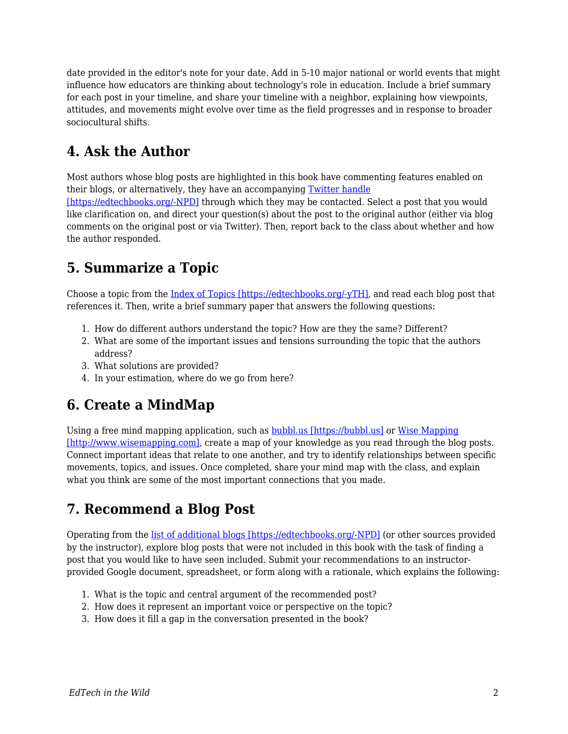date provided in the editor's note for your date. Add in 5-10 major national or world events that might influence how educators are thinking about technology's role in education. Include a brief summary for each post in your timeline, and share your timeline with a neighbor, explaining how viewpoints, attitudes, and movements might evolve over time as the field progresses and in response to broader sociocultural shifts.

# **4. Ask the Author**

Most authors whose blog posts are highlighted in this book have commenting features enabled on their blogs, or alternatively, they have an accompanying [Twitter handle](https://edtechbooks.org/wild/list_of_blogs) [\[https://edtechbooks.org/-NPD\]](https://edtechbooks.org/wild/list_of_blogs) through which they may be contacted. Select a post that you would like clarification on, and direct your question(s) about the post to the original author (either via blog comments on the original post or via Twitter). Then, report back to the class about whether and how the author responded.

# **5. Summarize a Topic**

Choose a topic from the [Index of Topics \[https://edtechbooks.org/-yTH\]](https://edtechbooks.org/wild/index), and read each blog post that references it. Then, write a brief summary paper that answers the following questions:

- 1. How do different authors understand the topic? How are they the same? Different?
- 2. What are some of the important issues and tensions surrounding the topic that the authors address?
- 3. What solutions are provided?
- 4. In your estimation, where do we go from here?

# **6. Create a MindMap**

Using a free mind mapping application, such as [bubbl.us \[https://bubbl.us\]](https://bubbl.us) or [Wise Mapping](http://www.wisemapping.com) [\[http://www.wisemapping.com\]](http://www.wisemapping.com), create a map of your knowledge as you read through the blog posts. Connect important ideas that relate to one another, and try to identify relationships between specific movements, topics, and issues. Once completed, share your mind map with the class, and explain what you think are some of the most important connections that you made.

# **7. Recommend a Blog Post**

Operating from the [list of additional blogs \[https://edtechbooks.org/-NPD\]](https://edtechbooks.org/wild/list_of_blogs) (or other sources provided by the instructor), explore blog posts that were not included in this book with the task of finding a post that you would like to have seen included. Submit your recommendations to an instructorprovided Google document, spreadsheet, or form along with a rationale, which explains the following:

- 1. What is the topic and central argument of the recommended post?
- 2. How does it represent an important voice or perspective on the topic?
- 3. How does it fill a gap in the conversation presented in the book?